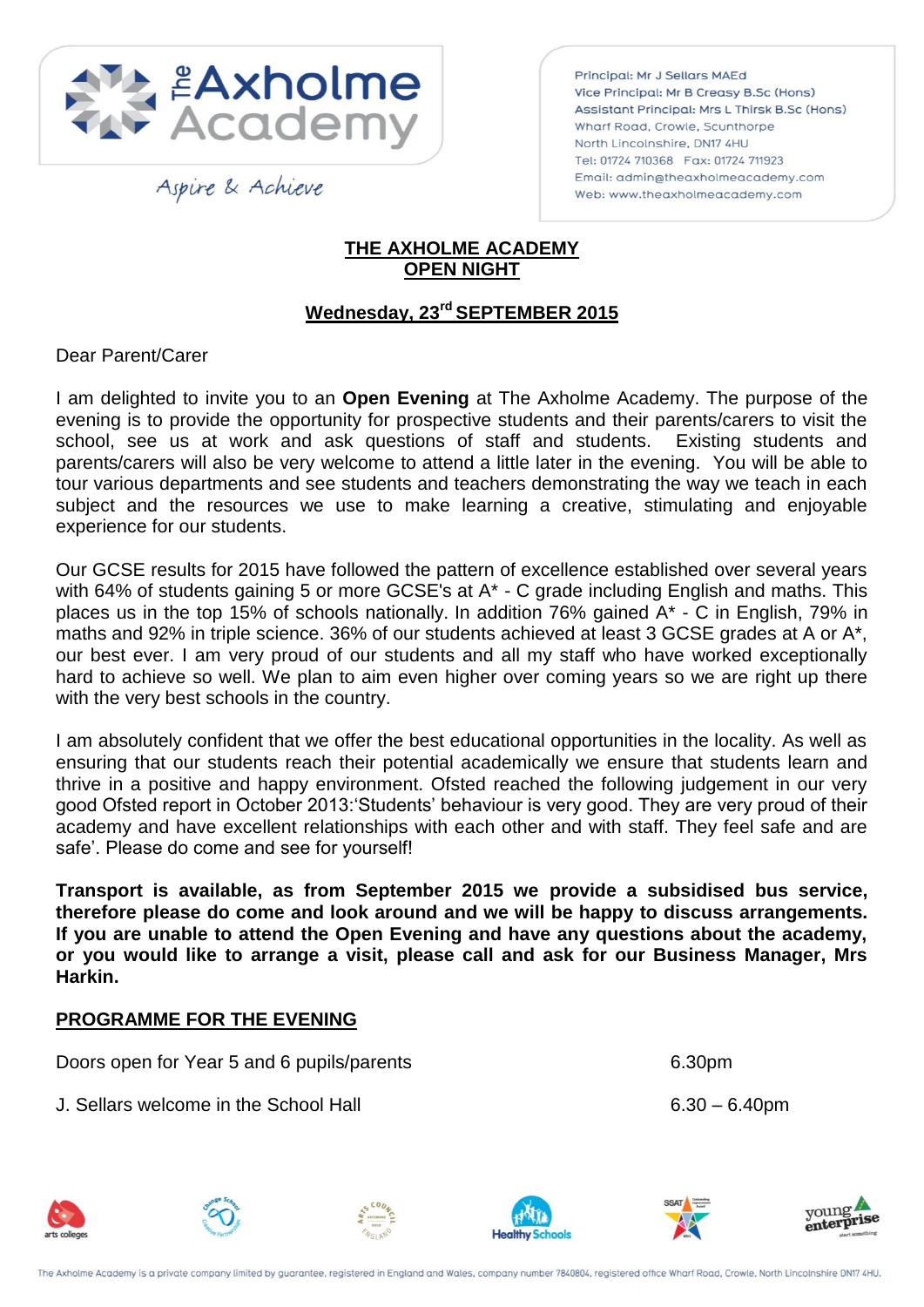

Aspire & Achieve

Principal: Mr J Sellars MAEd Vice Principal: Mr B Creasy B.Sc (Hons) Assistant Principal: Mrs L Thirsk B.Sc (Hons) Wharf Road, Crowle, Scunthorpe North Lincolnshire, DN17 4HU Tel: 01724 710368 Fax: 01724 711923 Email: admin@theaxholmeacademy.com Web: www.theaxholmeacademy.com

## **THE AXHOLME ACADEMY OPEN NIGHT**

## **Wednesday, 23rd SEPTEMBER 2015**

## Dear Parent/Carer

I am delighted to invite you to an **Open Evening** at The Axholme Academy. The purpose of the evening is to provide the opportunity for prospective students and their parents/carers to visit the school, see us at work and ask questions of staff and students. Existing students and parents/carers will also be very welcome to attend a little later in the evening. You will be able to tour various departments and see students and teachers demonstrating the way we teach in each subject and the resources we use to make learning a creative, stimulating and enjoyable experience for our students.

Our GCSE results for 2015 have followed the pattern of excellence established over several years with 64% of students gaining 5 or more GCSE's at A<sup>\*</sup> - C grade including English and maths. This places us in the top 15% of schools nationally. In addition 76% gained A\* - C in English, 79% in maths and 92% in triple science. 36% of our students achieved at least 3 GCSE grades at A or A\*, our best ever. I am very proud of our students and all my staff who have worked exceptionally hard to achieve so well. We plan to aim even higher over coming years so we are right up there with the very best schools in the country.

I am absolutely confident that we offer the best educational opportunities in the locality. As well as ensuring that our students reach their potential academically we ensure that students learn and thrive in a positive and happy environment. Ofsted reached the following judgement in our very good Ofsted report in October 2013:'Students' behaviour is very good. They are very proud of their academy and have excellent relationships with each other and with staff. They feel safe and are safe'. Please do come and see for yourself!

**Transport is available, as from September 2015 we provide a subsidised bus service, therefore please do come and look around and we will be happy to discuss arrangements. If you are unable to attend the Open Evening and have any questions about the academy, or you would like to arrange a visit, please call and ask for our Business Manager, Mrs Harkin.**

## **PROGRAMME FOR THE EVENING**

Doors open for Year 5 and 6 pupils/parents 6.30pm

J. Sellars welcome in the School Hall 6.30 – 6.40pm